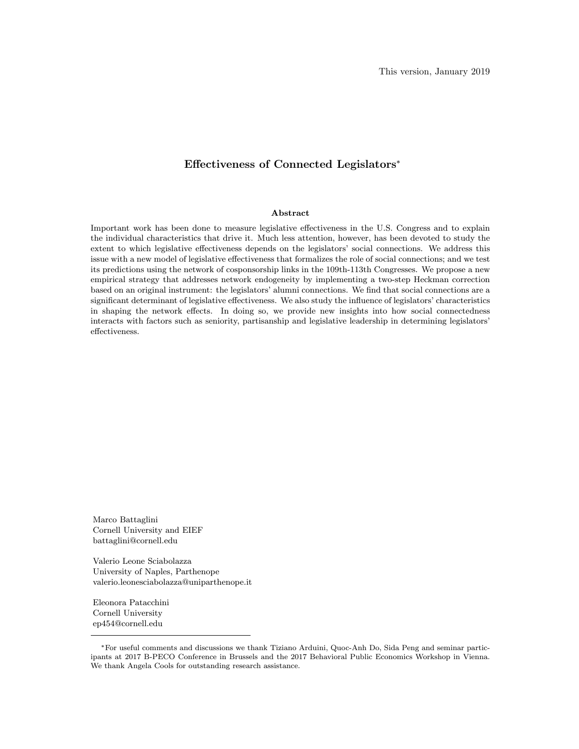### Effectiveness of Connected Legislators\*

#### Abstract

Important work has been done to measure legislative effectiveness in the U.S. Congress and to explain the individual characteristics that drive it. Much less attention, however, has been devoted to study the extent to which legislative effectiveness depends on the legislators' social connections. We address this issue with a new model of legislative effectiveness that formalizes the role of social connections; and we test its predictions using the network of cosponsorship links in the 109th-113th Congresses. We propose a new empirical strategy that addresses network endogeneity by implementing a two-step Heckman correction based on an original instrument: the legislators' alumni connections. We find that social connections are a significant determinant of legislative effectiveness. We also study the influence of legislators' characteristics in shaping the network effects. In doing so, we provide new insights into how social connectedness interacts with factors such as seniority, partisanship and legislative leadership in determining legislators' effectiveness.

Marco Battaglini Cornell University and EIEF battaglini@cornell.edu

Valerio Leone Sciabolazza University of Naples, Parthenope valerio.leonesciabolazza@uniparthenope.it

Eleonora Patacchini Cornell University ep454@cornell.edu

For useful comments and discussions we thank Tiziano Arduini, Quoc-Anh Do, Sida Peng and seminar participants at 2017 B-PECO Conference in Brussels and the 2017 Behavioral Public Economics Workshop in Vienna. We thank Angela Cools for outstanding research assistance.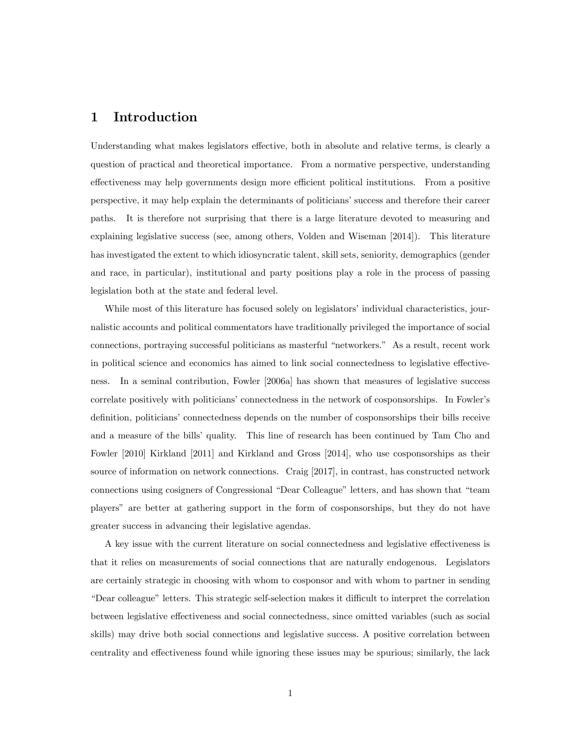### 1 Introduction

Understanding what makes legislators effective, both in absolute and relative terms, is clearly a question of practical and theoretical importance. From a normative perspective, understanding effectiveness may help governments design more efficient political institutions. From a positive perspective, it may help explain the determinants of politicians' success and therefore their career paths. It is therefore not surprising that there is a large literature devoted to measuring and explaining legislative success (see, among others, Volden and Wiseman [2014]). This literature has investigated the extent to which idiosyncratic talent, skill sets, seniority, demographics (gender and race, in particular), institutional and party positions play a role in the process of passing legislation both at the state and federal level.

While most of this literature has focused solely on legislators' individual characteristics, journalistic accounts and political commentators have traditionally privileged the importance of social connections, portraying successful politicians as masterful "networkers." As a result, recent work in political science and economics has aimed to link social connectedness to legislative effectiveness. In a seminal contribution, Fowler [2006a] has shown that measures of legislative success correlate positively with politicians' connectedness in the network of cosponsorships. In Fowler's definition, politicians' connectedness depends on the number of cosponsorships their bills receive and a measure of the bills' quality. This line of research has been continued by Tam Cho and Fowler [2010] Kirkland [2011] and Kirkland and Gross [2014], who use cosponsorships as their source of information on network connections. Craig [2017], in contrast, has constructed network connections using cosigners of Congressional "Dear Colleague" letters, and has shown that "team" players" are better at gathering support in the form of cosponsorships, but they do not have greater success in advancing their legislative agendas.

A key issue with the current literature on social connectedness and legislative effectiveness is that it relies on measurements of social connections that are naturally endogenous. Legislators are certainly strategic in choosing with whom to cosponsor and with whom to partner in sending "Dear colleague" letters. This strategic self-selection makes it difficult to interpret the correlation between legislative effectiveness and social connectedness, since omitted variables (such as social skills) may drive both social connections and legislative success. A positive correlation between centrality and effectiveness found while ignoring these issues may be spurious; similarly, the lack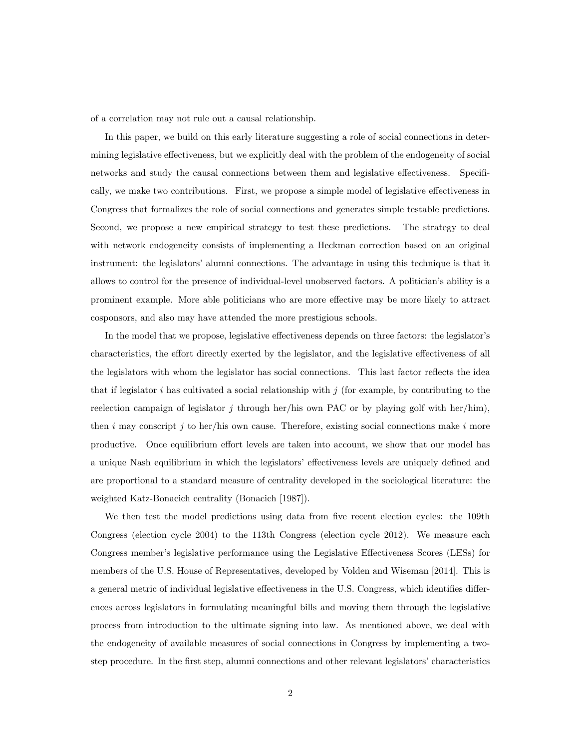of a correlation may not rule out a causal relationship.

In this paper, we build on this early literature suggesting a role of social connections in determining legislative effectiveness, but we explicitly deal with the problem of the endogeneity of social networks and study the causal connections between them and legislative effectiveness. Specifically, we make two contributions. First, we propose a simple model of legislative effectiveness in Congress that formalizes the role of social connections and generates simple testable predictions. Second, we propose a new empirical strategy to test these predictions. The strategy to deal with network endogeneity consists of implementing a Heckman correction based on an original instrument: the legislators' alumni connections. The advantage in using this technique is that it allows to control for the presence of individual-level unobserved factors. A politician's ability is a prominent example. More able politicians who are more effective may be more likely to attract cosponsors, and also may have attended the more prestigious schools.

In the model that we propose, legislative effectiveness depends on three factors: the legislator's characteristics, the effort directly exerted by the legislator, and the legislative effectiveness of all the legislators with whom the legislator has social connections. This last factor reflects the idea that if legislator i has cultivated a social relationship with j (for example, by contributing to the reelection campaign of legislator j through her/his own PAC or by playing golf with her/him), then i may conscript j to her/his own cause. Therefore, existing social connections make i more productive. Once equilibrium effort levels are taken into account, we show that our model has a unique Nash equilibrium in which the legislators' effectiveness levels are uniquely defined and are proportional to a standard measure of centrality developed in the sociological literature: the weighted Katz-Bonacich centrality (Bonacich [1987]).

We then test the model predictions using data from five recent election cycles: the 109th Congress (election cycle 2004) to the 113th Congress (election cycle 2012). We measure each Congress member's legislative performance using the Legislative Effectiveness Scores (LESs) for members of the U.S. House of Representatives, developed by Volden and Wiseman [2014]. This is a general metric of individual legislative effectiveness in the U.S. Congress, which identifies differences across legislators in formulating meaningful bills and moving them through the legislative process from introduction to the ultimate signing into law. As mentioned above, we deal with the endogeneity of available measures of social connections in Congress by implementing a twostep procedure. In the first step, alumni connections and other relevant legislators' characteristics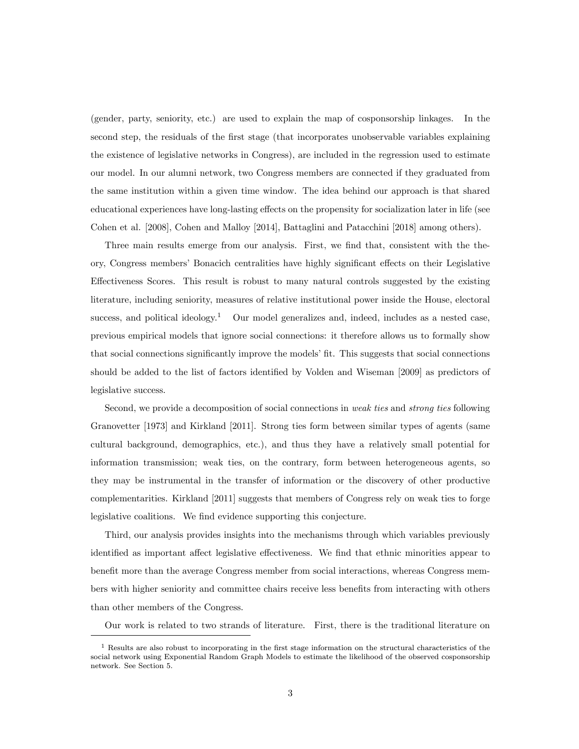(gender, party, seniority, etc.) are used to explain the map of cosponsorship linkages. In the second step, the residuals of the first stage (that incorporates unobservable variables explaining the existence of legislative networks in Congress), are included in the regression used to estimate our model. In our alumni network, two Congress members are connected if they graduated from the same institution within a given time window. The idea behind our approach is that shared educational experiences have long-lasting effects on the propensity for socialization later in life (see Cohen et al. [2008], Cohen and Malloy [2014], Battaglini and Patacchini [2018] among others).

Three main results emerge from our analysis. First, we find that, consistent with the theory, Congress members' Bonacich centralities have highly significant effects on their Legislative Effectiveness Scores. This result is robust to many natural controls suggested by the existing literature, including seniority, measures of relative institutional power inside the House, electoral success, and political ideology.<sup>1</sup> Our model generalizes and, indeed, includes as a nested case, previous empirical models that ignore social connections: it therefore allows us to formally show that social connections significantly improve the models' fit. This suggests that social connections should be added to the list of factors identied by Volden and Wiseman [2009] as predictors of legislative success.

Second, we provide a decomposition of social connections in weak ties and strong ties following Granovetter [1973] and Kirkland [2011]. Strong ties form between similar types of agents (same cultural background, demographics, etc.), and thus they have a relatively small potential for information transmission; weak ties, on the contrary, form between heterogeneous agents, so they may be instrumental in the transfer of information or the discovery of other productive complementarities. Kirkland [2011] suggests that members of Congress rely on weak ties to forge legislative coalitions. We find evidence supporting this conjecture.

Third, our analysis provides insights into the mechanisms through which variables previously identified as important affect legislative effectiveness. We find that ethnic minorities appear to benefit more than the average Congress member from social interactions, whereas Congress members with higher seniority and committee chairs receive less benets from interacting with others than other members of the Congress.

Our work is related to two strands of literature. First, there is the traditional literature on

 $<sup>1</sup>$  Results are also robust to incorporating in the first stage information on the structural characteristics of the</sup> social network using Exponential Random Graph Models to estimate the likelihood of the observed cosponsorship network. See Section 5.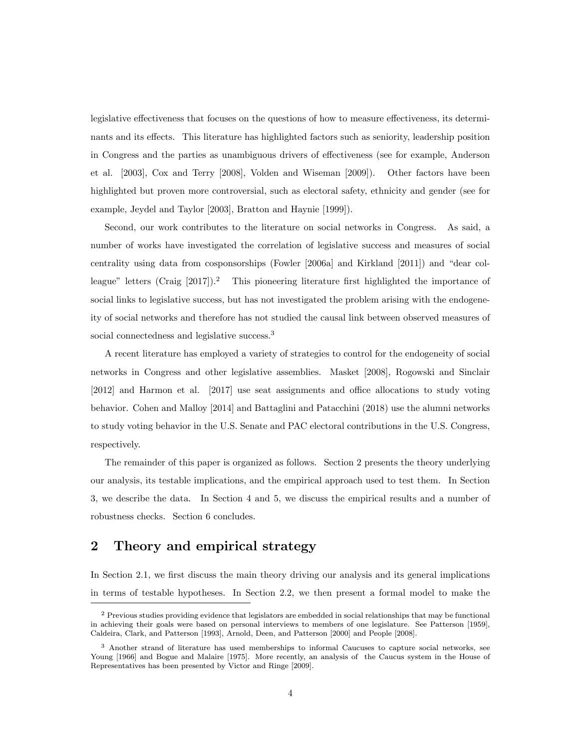legislative effectiveness that focuses on the questions of how to measure effectiveness, its determinants and its effects. This literature has highlighted factors such as seniority, leadership position in Congress and the parties as unambiguous drivers of effectiveness (see for example, Anderson et al. [2003], Cox and Terry [2008], Volden and Wiseman [2009]). Other factors have been highlighted but proven more controversial, such as electoral safety, ethnicity and gender (see for example, Jeydel and Taylor [2003], Bratton and Haynie [1999]).

Second, our work contributes to the literature on social networks in Congress. As said, a number of works have investigated the correlation of legislative success and measures of social centrality using data from cosponsorships (Fowler [2006a] and Kirkland [2011]) and \dear colleague" letters (Craig  $[2017]$ ).<sup>2</sup> This pioneering literature first highlighted the importance of social links to legislative success, but has not investigated the problem arising with the endogeneity of social networks and therefore has not studied the causal link between observed measures of social connectedness and legislative success.<sup>3</sup>

A recent literature has employed a variety of strategies to control for the endogeneity of social networks in Congress and other legislative assemblies. Masket [2008], Rogowski and Sinclair  $[2012]$  and Harmon et al.  $[2017]$  use seat assignments and office allocations to study voting behavior. Cohen and Malloy [2014] and Battaglini and Patacchini (2018) use the alumni networks to study voting behavior in the U.S. Senate and PAC electoral contributions in the U.S. Congress, respectively.

The remainder of this paper is organized as follows. Section 2 presents the theory underlying our analysis, its testable implications, and the empirical approach used to test them. In Section 3, we describe the data. In Section 4 and 5, we discuss the empirical results and a number of robustness checks. Section 6 concludes.

## 2 Theory and empirical strategy

In Section 2.1, we first discuss the main theory driving our analysis and its general implications in terms of testable hypotheses. In Section 2.2, we then present a formal model to make the

<sup>&</sup>lt;sup>2</sup> Previous studies providing evidence that legislators are embedded in social relationships that may be functional in achieving their goals were based on personal interviews to members of one legislature. See Patterson [1959], Caldeira, Clark, and Patterson [1993], Arnold, Deen, and Patterson [2000] and People [2008].

<sup>3</sup> Another strand of literature has used memberships to informal Caucuses to capture social networks, see Young [1966] and Bogue and Malaire [1975]. More recently, an analysis of the Caucus system in the House of Representatives has been presented by Victor and Ringe [2009].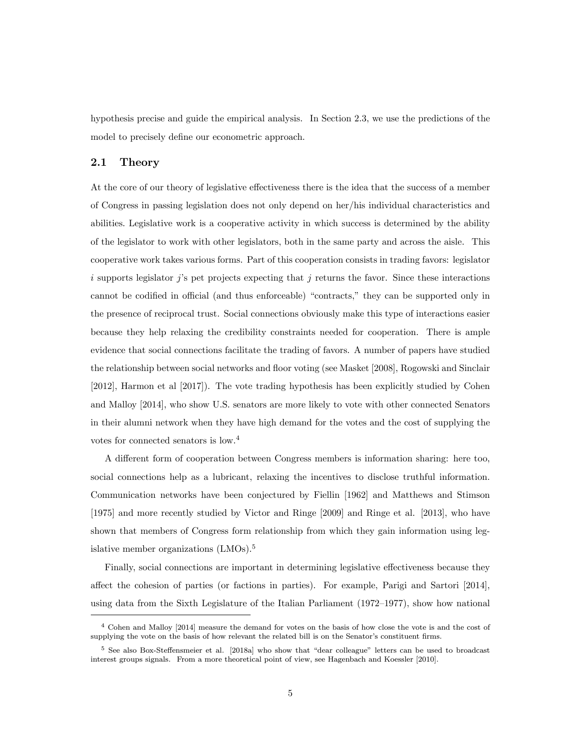hypothesis precise and guide the empirical analysis. In Section 2.3, we use the predictions of the model to precisely define our econometric approach.

#### 2.1 Theory

At the core of our theory of legislative effectiveness there is the idea that the success of a member of Congress in passing legislation does not only depend on her/his individual characteristics and abilities. Legislative work is a cooperative activity in which success is determined by the ability of the legislator to work with other legislators, both in the same party and across the aisle. This cooperative work takes various forms. Part of this cooperation consists in trading favors: legislator i supports legislator j's pet projects expecting that j returns the favor. Since these interactions cannot be codified in official (and thus enforceable) "contracts," they can be supported only in the presence of reciprocal trust. Social connections obviously make this type of interactions easier because they help relaxing the credibility constraints needed for cooperation. There is ample evidence that social connections facilitate the trading of favors. A number of papers have studied the relationship between social networks and floor voting (see Masket [2008], Rogowski and Sinclair [2012], Harmon et al [2017]). The vote trading hypothesis has been explicitly studied by Cohen and Malloy [2014], who show U.S. senators are more likely to vote with other connected Senators in their alumni network when they have high demand for the votes and the cost of supplying the votes for connected senators is low.<sup>4</sup>

A different form of cooperation between Congress members is information sharing: here too, social connections help as a lubricant, relaxing the incentives to disclose truthful information. Communication networks have been conjectured by Fiellin [1962] and Matthews and Stimson [1975] and more recently studied by Victor and Ringe [2009] and Ringe et al. [2013], who have shown that members of Congress form relationship from which they gain information using legislative member organizations (LMOs).<sup>5</sup>

Finally, social connections are important in determining legislative effectiveness because they affect the cohesion of parties (or factions in parties). For example, Parigi and Sartori  $|2014|$ , using data from the Sixth Legislature of the Italian Parliament  $(1972-1977)$ , show how national

<sup>4</sup> Cohen and Malloy [2014] measure the demand for votes on the basis of how close the vote is and the cost of supplying the vote on the basis of how relevant the related bill is on the Senator's constituent firms.

 $5$  See also Box-Steffensmeier et al. [2018a] who show that "dear colleague" letters can be used to broadcast interest groups signals. From a more theoretical point of view, see Hagenbach and Koessler [2010].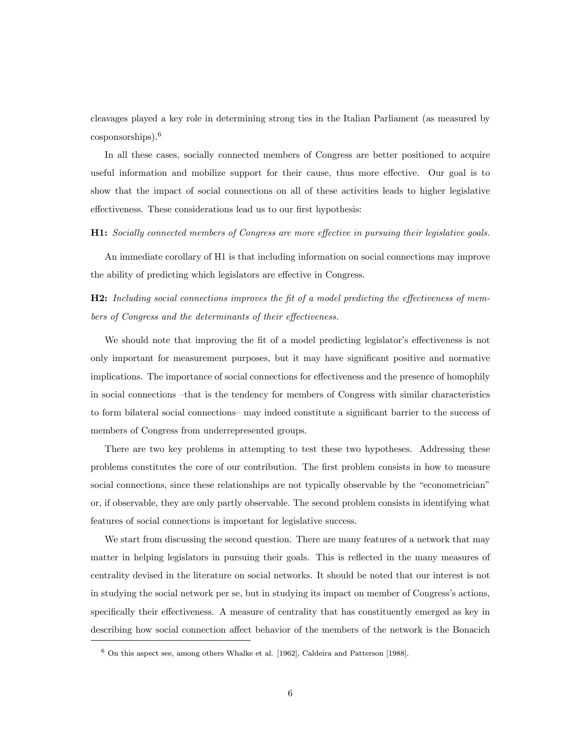cleavages played a key role in determining strong ties in the Italian Parliament (as measured by cosponsorships).<sup>6</sup>

In all these cases, socially connected members of Congress are better positioned to acquire useful information and mobilize support for their cause, thus more effective. Our goal is to show that the impact of social connections on all of these activities leads to higher legislative effectiveness. These considerations lead us to our first hypothesis:

#### **H1:** Socially connected members of Congress are more effective in pursuing their legislative goals.

An immediate corollary of H1 is that including information on social connections may improve the ability of predicting which legislators are effective in Congress.

 $H2:$  Including social connections improves the fit of a model predicting the effectiveness of members of Congress and the determinants of their effectiveness.

We should note that improving the fit of a model predicting legislator's effectiveness is not only important for measurement purposes, but it may have signicant positive and normative implications. The importance of social connections for effectiveness and the presence of homophily in social connections -that is the tendency for members of Congress with similar characteristics to form bilateral social connections– may indeed constitute a significant barrier to the success of members of Congress from underrepresented groups.

There are two key problems in attempting to test these two hypotheses. Addressing these problems constitutes the core of our contribution. The first problem consists in how to measure social connections, since these relationships are not typically observable by the "econometrician" or, if observable, they are only partly observable. The second problem consists in identifying what features of social connections is important for legislative success.

We start from discussing the second question. There are many features of a network that may matter in helping legislators in pursuing their goals. This is reflected in the many measures of centrality devised in the literature on social networks. It should be noted that our interest is not in studying the social network per se, but in studying its impact on member of Congress's actions, specifically their effectiveness. A measure of centrality that has constituently emerged as key in describing how social connection affect behavior of the members of the network is the Bonacich

 $6$  On this aspect see, among others Whalke et al. [1962], Caldeira and Patterson [1988].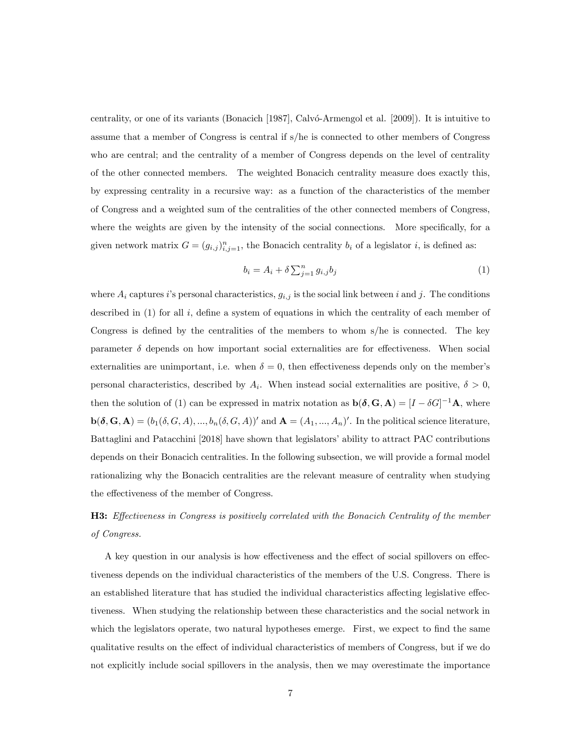centrality, or one of its variants (Bonacich [1987], Calvo-Armengol et al. [2009]). It is intuitive to assume that a member of Congress is central if s/he is connected to other members of Congress who are central; and the centrality of a member of Congress depends on the level of centrality of the other connected members. The weighted Bonacich centrality measure does exactly this, by expressing centrality in a recursive way: as a function of the characteristics of the member of Congress and a weighted sum of the centralities of the other connected members of Congress, where the weights are given by the intensity of the social connections. More specifically, for a given network matrix  $G = (g_{i,j})_{i,j=1}^n$ , the Bonacich centrality  $b_i$  of a legislator i, is defined as:

$$
b_i = A_i + \delta \sum_{j=1}^n g_{i,j} b_j \tag{1}
$$

where  $A_i$  captures i's personal characteristics,  $g_{i,j}$  is the social link between i and j. The conditions described in  $(1)$  for all i, define a system of equations in which the centrality of each member of Congress is defined by the centralities of the members to whom  $s$ /he is connected. The key parameter  $\delta$  depends on how important social externalities are for effectiveness. When social externalities are unimportant, i.e. when  $\delta = 0$ , then effectiveness depends only on the member's personal characteristics, described by  $A_i$ . When instead social externalities are positive,  $\delta > 0$ , then the solution of (1) can be expressed in matrix notation as  $\mathbf{b}(\delta, \mathbf{G}, \mathbf{A}) = [I - \delta G]^{-1} \mathbf{A}$ , where  $\mathbf{b}(\delta, \mathbf{G}, \mathbf{A}) = (b_1(\delta, G, A), ..., b_n(\delta, G, A))'$  and  $\mathbf{A} = (A_1, ..., A_n)'$ . In the political science literature, Battaglini and Patacchini [2018] have shown that legislators' ability to attract PAC contributions depends on their Bonacich centralities. In the following subsection, we will provide a formal model rationalizing why the Bonacich centralities are the relevant measure of centrality when studying the effectiveness of the member of Congress.

## $H3:$  Effectiveness in Congress is positively correlated with the Bonacich Centrality of the member of Congress.

A key question in our analysis is how effectiveness and the effect of social spillovers on effectiveness depends on the individual characteristics of the members of the U.S. Congress. There is an established literature that has studied the individual characteristics affecting legislative effectiveness. When studying the relationship between these characteristics and the social network in which the legislators operate, two natural hypotheses emerge. First, we expect to find the same qualitative results on the effect of individual characteristics of members of Congress, but if we do not explicitly include social spillovers in the analysis, then we may overestimate the importance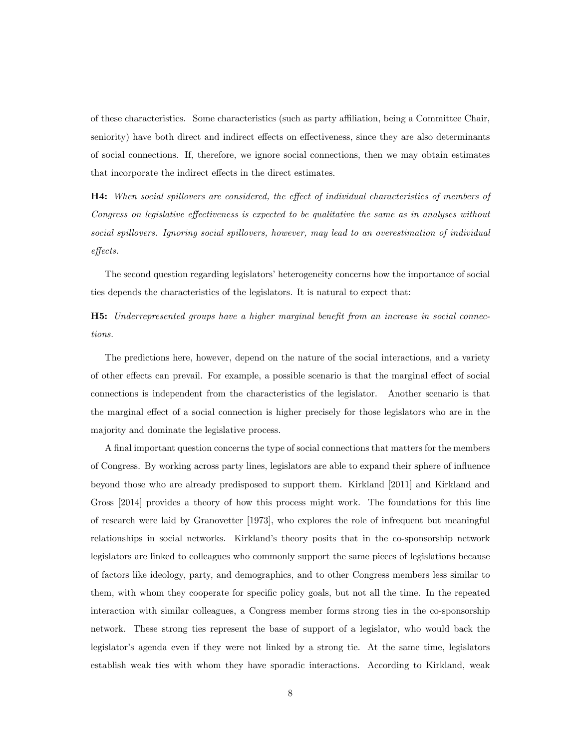of these characteristics. Some characteristics (such as party aliation, being a Committee Chair, seniority) have both direct and indirect effects on effectiveness, since they are also determinants of social connections. If, therefore, we ignore social connections, then we may obtain estimates that incorporate the indirect effects in the direct estimates.

**H4:** When social spillovers are considered, the effect of individual characteristics of members of Congress on legislative effectiveness is expected to be qualitative the same as in analyses without social spillovers. Ignoring social spillovers, however, may lead to an overestimation of individual  $effects.$ 

The second question regarding legislators' heterogeneity concerns how the importance of social ties depends the characteristics of the legislators. It is natural to expect that:

**H5:** Underrepresented groups have a higher marginal benefit from an increase in social connections.

The predictions here, however, depend on the nature of the social interactions, and a variety of other effects can prevail. For example, a possible scenario is that the marginal effect of social connections is independent from the characteristics of the legislator. Another scenario is that the marginal effect of a social connection is higher precisely for those legislators who are in the majority and dominate the legislative process.

A final important question concerns the type of social connections that matters for the members of Congress. By working across party lines, legislators are able to expand their sphere of influence beyond those who are already predisposed to support them. Kirkland [2011] and Kirkland and Gross [2014] provides a theory of how this process might work. The foundations for this line of research were laid by Granovetter [1973], who explores the role of infrequent but meaningful relationships in social networks. Kirkland's theory posits that in the co-sponsorship network legislators are linked to colleagues who commonly support the same pieces of legislations because of factors like ideology, party, and demographics, and to other Congress members less similar to them, with whom they cooperate for specic policy goals, but not all the time. In the repeated interaction with similar colleagues, a Congress member forms strong ties in the co-sponsorship network. These strong ties represent the base of support of a legislator, who would back the legislator's agenda even if they were not linked by a strong tie. At the same time, legislators establish weak ties with whom they have sporadic interactions. According to Kirkland, weak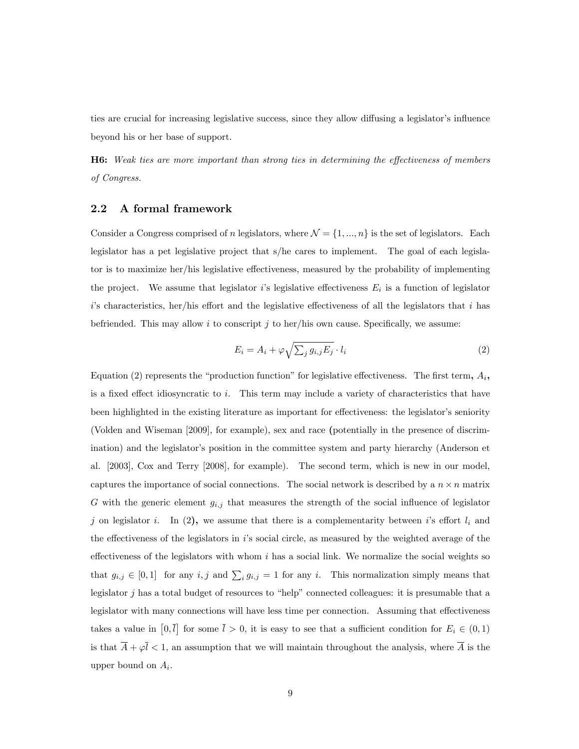ties are crucial for increasing legislative success, since they allow diffusing a legislator's influence beyond his or her base of support.

**H6:** Weak ties are more important than strong ties in determining the effectiveness of members of Congress.

### 2.2 A formal framework

Consider a Congress comprised of n legislators, where  $\mathcal{N} = \{1, ..., n\}$  is the set of legislators. Each legislator has a pet legislative project that s/he cares to implement. The goal of each legislator is to maximize her/his legislative effectiveness, measured by the probability of implementing the project. We assume that legislator i's legislative effectiveness  $E_i$  is a function of legislator  $i$ 's characteristics, her/his effort and the legislative effectiveness of all the legislators that  $i$  has befriended. This may allow i to conscript j to her/his own cause. Specifically, we assume:

$$
E_i = A_i + \varphi \sqrt{\sum_j g_{i,j} E_j} \cdot l_i \tag{2}
$$

Equation (2) represents the "production function" for legislative effectiveness. The first term,  $A_i$ , is a fixed effect idiosyncratic to i. This term may include a variety of characteristics that have been highlighted in the existing literature as important for effectiveness: the legislator's seniority (Volden and Wiseman [2009], for example), sex and race (potentially in the presence of discrimination) and the legislator's position in the committee system and party hierarchy (Anderson et al. [2003], Cox and Terry [2008], for example). The second term, which is new in our model, captures the importance of social connections. The social network is described by a  $n \times n$  matrix G with the generic element  $g_{i,j}$  that measures the strength of the social influence of legislator j on legislator i. In (2), we assume that there is a complementarity between i's effort  $l_i$  and the effectiveness of the legislators in  $i$ 's social circle, as measured by the weighted average of the effectiveness of the legislators with whom  $i$  has a social link. We normalize the social weights so that  $g_{i,j} \in [0,1]$  for any  $i, j$  and  $\sum_i g_{i,j} = 1$  for any i. This normalization simply means that legislator  $j$  has a total budget of resources to "help" connected colleagues: it is presumable that a legislator with many connections will have less time per connection. Assuming that effectiveness takes a value in  $[0,\overline{l}]$  for some  $\overline{l} > 0$ , it is easy to see that a sufficient condition for  $E_i \in (0,1)$ is that  $\overline{A} + \varphi \overline{l} < 1$ , an assumption that we will maintain throughout the analysis, where  $\overline{A}$  is the upper bound on  $A_i$ .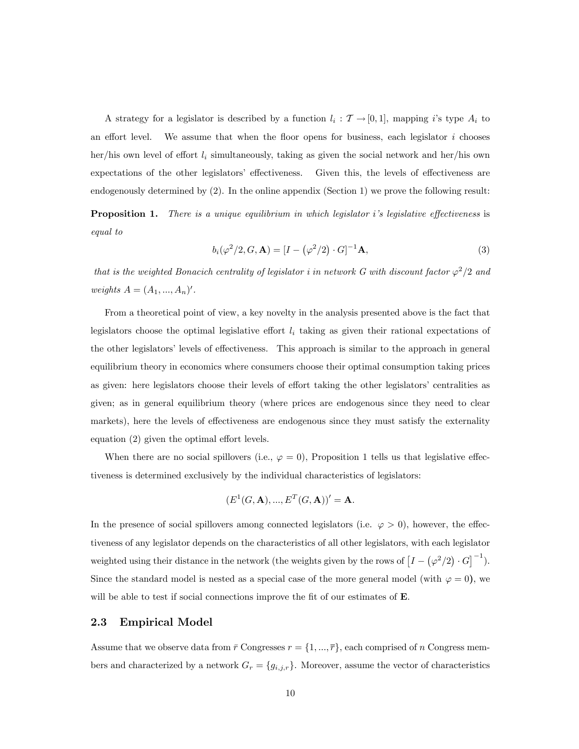A strategy for a legislator is described by a function  $l_i : \mathcal{T} \to [0,1]$ , mapping i's type  $A_i$  to an effort level. We assume that when the floor opens for business, each legislator  $i$  chooses her/his own level of effort  $l_i$  simultaneously, taking as given the social network and her/his own expectations of the other legislators' effectiveness. Given this, the levels of effectiveness are endogenously determined by (2). In the online appendix (Section 1) we prove the following result:

**Proposition 1.** There is a unique equilibrium in which legislator i's legislative effectiveness is equal to

$$
b_i(\varphi^2/2, G, \mathbf{A}) = [I - (\varphi^2/2) \cdot G]^{-1} \mathbf{A}, \tag{3}
$$

that is the weighted Bonacich centrality of legislator i in network G with discount factor  $\varphi^2/2$  and weights  $A = (A_1, ..., A_n)'$ .

From a theoretical point of view, a key novelty in the analysis presented above is the fact that legislators choose the optimal legislative effort  $l_i$  taking as given their rational expectations of the other legislators' levels of effectiveness. This approach is similar to the approach in general equilibrium theory in economics where consumers choose their optimal consumption taking prices as given: here legislators choose their levels of effort taking the other legislators' centralities as given; as in general equilibrium theory (where prices are endogenous since they need to clear markets), here the levels of effectiveness are endogenous since they must satisfy the externality equation  $(2)$  given the optimal effort levels.

When there are no social spillovers (i.e.,  $\varphi = 0$ ), Proposition 1 tells us that legislative effectiveness is determined exclusively by the individual characteristics of legislators:

$$
(E^1(G, A), ..., E^T(G, A))' = A.
$$

In the presence of social spillovers among connected legislators (i.e.  $\varphi > 0$ ), however, the effectiveness of any legislator depends on the characteristics of all other legislators, with each legislator weighted using their distance in the network (the weights given by the rows of  $[I - (\varphi^2/2) \cdot G]^{-1}$ ). Since the standard model is nested as a special case of the more general model (with  $\varphi = 0$ ), we will be able to test if social connections improve the fit of our estimates of  $E$ .

#### 2.3 Empirical Model

Assume that we observe data from  $\bar{r}$  Congresses  $r = \{1, ..., \bar{r}\}\$ , each comprised of n Congress members and characterized by a network  $G_r = \{g_{i,j,r}\}\.$  Moreover, assume the vector of characteristics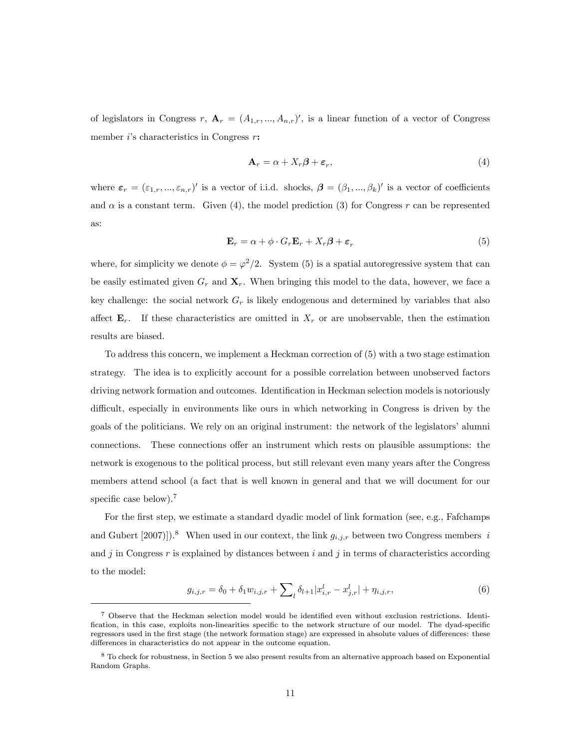of legislators in Congress r,  $\mathbf{A}_r = (A_{1,r},...,A_{n,r})'$ , is a linear function of a vector of Congress member  $i$ 's characteristics in Congress  $r$ :

$$
\mathbf{A}_r = \alpha + X_r \boldsymbol{\beta} + \boldsymbol{\varepsilon}_r,\tag{4}
$$

where  $\varepsilon_r = (\varepsilon_{1,r},...,\varepsilon_{n,r})'$  is a vector of i.i.d. shocks,  $\boldsymbol{\beta} = (\beta_1,...,\beta_k)'$  is a vector of coefficients and  $\alpha$  is a constant term. Given (4), the model prediction (3) for Congress r can be represented as:

$$
\mathbf{E}_r = \alpha + \phi \cdot G_r \mathbf{E}_r + X_r \boldsymbol{\beta} + \boldsymbol{\varepsilon}_r \tag{5}
$$

where, for simplicity we denote  $\phi = \varphi^2/2$ . System (5) is a spatial autoregressive system that can be easily estimated given  $G_r$  and  $\mathbf{X}_r$ . When bringing this model to the data, however, we face a key challenge: the social network  $G_r$  is likely endogenous and determined by variables that also affect  $\mathbf{E}_r$ . If these characteristics are omitted in  $X_r$  or are unobservable, then the estimation results are biased.

To address this concern, we implement a Heckman correction of (5) with a two stage estimation strategy. The idea is to explicitly account for a possible correlation between unobserved factors driving network formation and outcomes. Identification in Heckman selection models is notoriously difficult, especially in environments like ours in which networking in Congress is driven by the goals of the politicians. We rely on an original instrument: the network of the legislators' alumni connections. These connections offer an instrument which rests on plausible assumptions: the network is exogenous to the political process, but still relevant even many years after the Congress members attend school (a fact that is well known in general and that we will document for our specific case below).<sup>7</sup>

For the first step, we estimate a standard dyadic model of link formation (see, e.g., Fafchamps and Gubert [2007]]).<sup>8</sup> When used in our context, the link  $g_{i,j,r}$  between two Congress members i and j in Congress r is explained by distances between i and j in terms of characteristics according to the model:

$$
g_{i,j,r} = \delta_0 + \delta_1 w_{i,j,r} + \sum_{l} \delta_{l+1} |x_{i,r}^l - x_{j,r}^l| + \eta_{i,j,r},
$$
\n(6)

<sup>7</sup> Observe that the Heckman selection model would be identied even without exclusion restrictions. Identi fication, in this case, exploits non-linearities specific to the network structure of our model. The dyad-specific regressors used in the first stage (the network formation stage) are expressed in absolute values of differences: these differences in characteristics do not appear in the outcome equation.

<sup>8</sup> To check for robustness, in Section 5 we also present results from an alternative approach based on Exponential Random Graphs.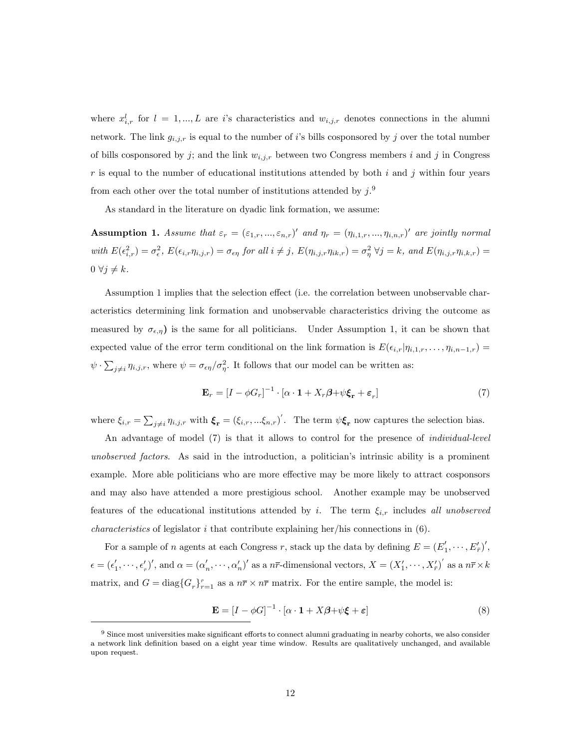where  $x_{i,r}^l$  for  $l = 1,...,L$  are i's characteristics and  $w_{i,j,r}$  denotes connections in the alumni network. The link  $g_{i,j,r}$  is equal to the number of i's bills cosponsored by j over the total number of bills cosponsored by j; and the link  $w_{i,j,r}$  between two Congress members i and j in Congress r is equal to the number of educational institutions attended by both  $i$  and  $j$  within four years from each other over the total number of institutions attended by  $j$ .<sup>9</sup>

As standard in the literature on dyadic link formation, we assume:

**Assumption 1.** Assume that  $\varepsilon_r = (\varepsilon_{1,r},...,\varepsilon_{n,r})'$  and  $\eta_r = (\eta_{i,1,r},...,\eta_{i,n,r})'$  are jointly normal with  $E(\epsilon_{i,r}^2) = \sigma_{\epsilon}^2$ ,  $E(\epsilon_{i,r}\eta_{i,j,r}) = \sigma_{\epsilon\eta}$  for all  $i \neq j$ ,  $E(\eta_{i,j,r}\eta_{ik,r}) = \sigma_{\eta}^2 \ \forall j = k$ , and  $E(\eta_{i,j,r}\eta_{i,k,r}) =$  $0 \forall j \neq k$ .

Assumption 1 implies that the selection effect (i.e. the correlation between unobservable characteristics determining link formation and unobservable characteristics driving the outcome as measured by  $\sigma_{\epsilon,\eta}$  is the same for all politicians. Under Assumption 1, it can be shown that expected value of the error term conditional on the link formation is  $E(\epsilon_{i,r}|\eta_{i,1,r},\ldots,\eta_{i,n-1,r}) =$  $\psi \cdot \sum_{j \neq i} \eta_{i,j,r}$ , where  $\psi = \sigma_{\epsilon \eta}/\sigma_{\eta}^2$ . It follows that our model can be written as:

$$
\mathbf{E}_r = \left[I - \phi G_r\right]^{-1} \cdot \left[\alpha \cdot \mathbf{1} + X_r \beta + \psi \xi_r + \varepsilon_r\right] \tag{7}
$$

where  $\xi_{i,r} = \sum_{j \neq i} \eta_{i,j,r}$  with  $\boldsymbol{\xi}_{\mathbf{r}} = (\xi_{i,r},...\xi_{n,r})'$ . The term  $\psi \boldsymbol{\xi}_{\mathbf{r}}$  now captures the selection bias.

An advantage of model (7) is that it allows to control for the presence of individual-level unobserved factors. As said in the introduction, a politician's intrinsic ability is a prominent example. More able politicians who are more effective may be more likely to attract cosponsors and may also have attended a more prestigious school. Another example may be unobserved features of the educational institutions attended by i. The term  $\xi_{i,r}$  includes all unobserved *characteristics* of legislator  $i$  that contribute explaining her/his connections in  $(6)$ .

For a sample of *n* agents at each Congress *r*, stack up the data by defining  $E = (E'_1, \dots, E'_{\overline{r}})'$ ,  $\epsilon = (\epsilon'_1, \cdots, \epsilon'_{\overline{r}})'$ , and  $\alpha = (\alpha'_n, \cdots, \alpha'_n)'$  as a  $n\overline{r}$ -dimensional vectors,  $X = (X'_1, \cdots, X'_{\overline{r}})'$  as a  $n\overline{r} \times k$ matrix, and  $G = diag{G_r}_{r=1}^{\bar{r}}$  as a  $n\bar{r} \times n\bar{r}$  matrix. For the entire sample, the model is:

$$
\mathbf{E} = [I - \phi G]^{-1} \cdot [\alpha \cdot \mathbf{1} + X\beta + \psi \xi + \varepsilon]
$$
\n(8)

 $9$  Since most universities make significant efforts to connect alumni graduating in nearby cohorts, we also consider a network link definition based on a eight year time window. Results are qualitatively unchanged, and available upon request.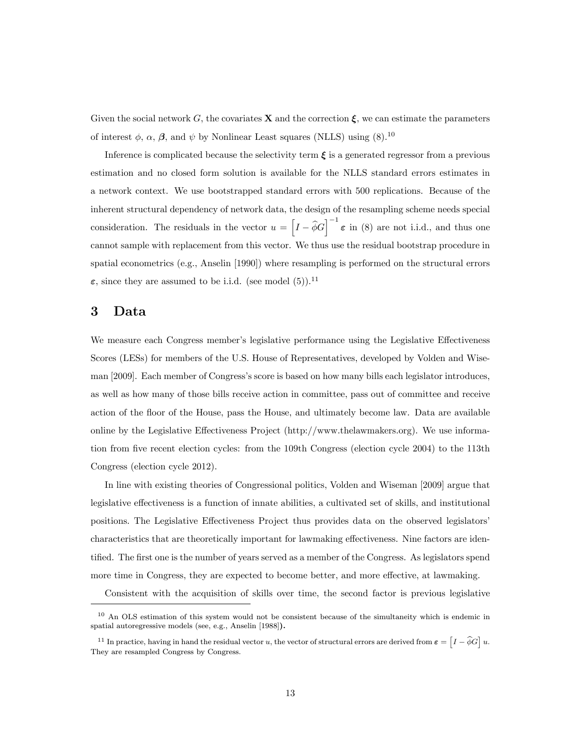Given the social network G, the covariates **X** and the correction  $\xi$ , we can estimate the parameters of interest  $\phi$ ,  $\alpha$ ,  $\beta$ , and  $\psi$  by Nonlinear Least squares (NLLS) using (8).<sup>10</sup>

Inference is complicated because the selectivity term  $\xi$  is a generated regressor from a previous estimation and no closed form solution is available for the NLLS standard errors estimates in a network context. We use bootstrapped standard errors with 500 replications. Because of the inherent structural dependency of network data, the design of the resampling scheme needs special consideration. The residuals in the vector  $u = \left[I - \hat{\phi}G\right]^{-1} \varepsilon$  in (8) are not i.i.d., and thus one cannot sample with replacement from this vector. We thus use the residual bootstrap procedure in spatial econometrics (e.g., Anselin [1990]) where resampling is performed on the structural errors  $\varepsilon$ , since they are assumed to be i.i.d. (see model (5)).<sup>11</sup>

### 3 Data

We measure each Congress member's legislative performance using the Legislative Effectiveness Scores (LESs) for members of the U.S. House of Representatives, developed by Volden and Wiseman [2009]. Each member of Congress's score is based on how many bills each legislator introduces, as well as how many of those bills receive action in committee, pass out of committee and receive action of the floor of the House, pass the House, and ultimately become law. Data are available online by the Legislative Effectiveness Project  $(http://www.thelawmakers.org)$ . We use information from five recent election cycles: from the 109th Congress (election cycle  $2004$ ) to the 113th Congress (election cycle 2012).

In line with existing theories of Congressional politics, Volden and Wiseman [2009] argue that legislative effectiveness is a function of innate abilities, a cultivated set of skills, and institutional positions. The Legislative Effectiveness Project thus provides data on the observed legislators' characteristics that are theoretically important for lawmaking effectiveness. Nine factors are identified. The first one is the number of years served as a member of the Congress. As legislators spend more time in Congress, they are expected to become better, and more effective, at lawmaking.

Consistent with the acquisition of skills over time, the second factor is previous legislative

<sup>&</sup>lt;sup>10</sup> An OLS estimation of this system would not be consistent because of the simultaneity which is endemic in spatial autoregressive models (see, e.g., Anselin [1988]).

<sup>&</sup>lt;sup>11</sup> In practice, having in hand the residual vector u, the vector of structural errors are derived from  $\boldsymbol{\varepsilon} = \left[I - \hat{\phi} G\right] u$ . They are resampled Congress by Congress.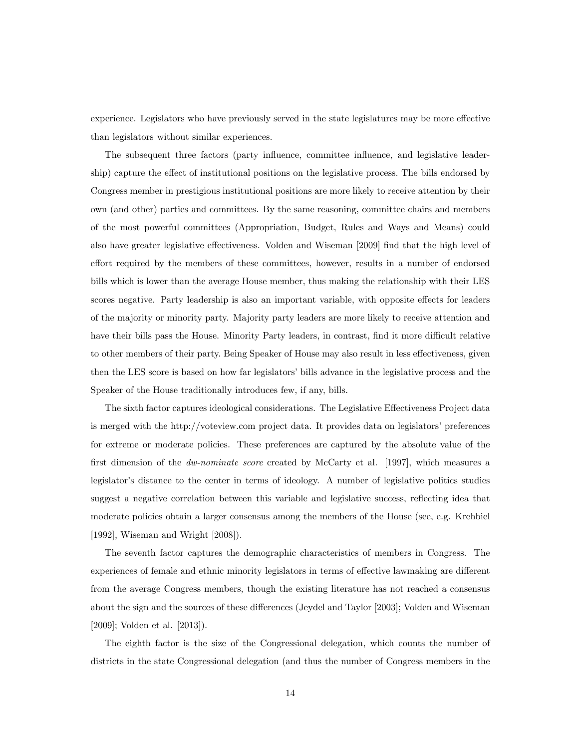experience. Legislators who have previously served in the state legislatures may be more effective than legislators without similar experiences.

The subsequent three factors (party influence, committee influence, and legislative leadership) capture the effect of institutional positions on the legislative process. The bills endorsed by Congress member in prestigious institutional positions are more likely to receive attention by their own (and other) parties and committees. By the same reasoning, committee chairs and members of the most powerful committees (Appropriation, Budget, Rules and Ways and Means) could also have greater legislative effectiveness. Volden and Wiseman [2009] find that the high level of effort required by the members of these committees, however, results in a number of endorsed bills which is lower than the average House member, thus making the relationship with their LES scores negative. Party leadership is also an important variable, with opposite effects for leaders of the majority or minority party. Majority party leaders are more likely to receive attention and have their bills pass the House. Minority Party leaders, in contrast, find it more difficult relative to other members of their party. Being Speaker of House may also result in less effectiveness, given then the LES score is based on how far legislators' bills advance in the legislative process and the Speaker of the House traditionally introduces few, if any, bills.

The sixth factor captures ideological considerations. The Legislative Effectiveness Project data is merged with the http://voteview.com project data. It provides data on legislators' preferences for extreme or moderate policies. These preferences are captured by the absolute value of the first dimension of the *dw-nominate score* created by McCarty et al. [1997], which measures a legislator's distance to the center in terms of ideology. A number of legislative politics studies suggest a negative correlation between this variable and legislative success, reflecting idea that moderate policies obtain a larger consensus among the members of the House (see, e.g. Krehbiel [1992], Wiseman and Wright [2008]).

The seventh factor captures the demographic characteristics of members in Congress. The experiences of female and ethnic minority legislators in terms of effective lawmaking are different from the average Congress members, though the existing literature has not reached a consensus about the sign and the sources of these differences (Jeydel and Taylor [2003]; Volden and Wiseman [2009]; Volden et al. [2013]).

The eighth factor is the size of the Congressional delegation, which counts the number of districts in the state Congressional delegation (and thus the number of Congress members in the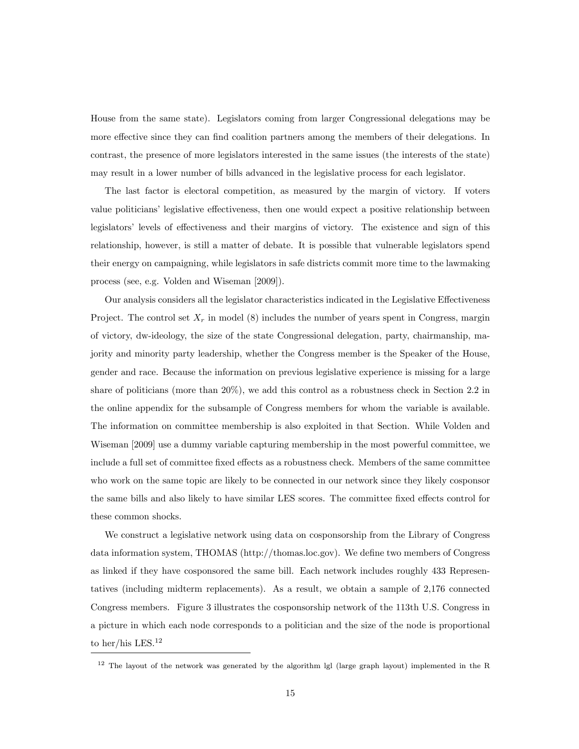House from the same state). Legislators coming from larger Congressional delegations may be more effective since they can find coalition partners among the members of their delegations. In contrast, the presence of more legislators interested in the same issues (the interests of the state) may result in a lower number of bills advanced in the legislative process for each legislator.

The last factor is electoral competition, as measured by the margin of victory. If voters value politicians' legislative effectiveness, then one would expect a positive relationship between legislators' levels of effectiveness and their margins of victory. The existence and sign of this relationship, however, is still a matter of debate. It is possible that vulnerable legislators spend their energy on campaigning, while legislators in safe districts commit more time to the lawmaking process (see, e.g. Volden and Wiseman [2009]).

Our analysis considers all the legislator characteristics indicated in the Legislative Effectiveness Project. The control set  $X_r$  in model (8) includes the number of years spent in Congress, margin of victory, dw-ideology, the size of the state Congressional delegation, party, chairmanship, majority and minority party leadership, whether the Congress member is the Speaker of the House, gender and race. Because the information on previous legislative experience is missing for a large share of politicians (more than 20%), we add this control as a robustness check in Section 2.2 in the online appendix for the subsample of Congress members for whom the variable is available. The information on committee membership is also exploited in that Section. While Volden and Wiseman [2009] use a dummy variable capturing membership in the most powerful committee, we include a full set of committee fixed effects as a robustness check. Members of the same committee who work on the same topic are likely to be connected in our network since they likely cosponsor the same bills and also likely to have similar LES scores. The committee fixed effects control for these common shocks.

We construct a legislative network using data on cosponsorship from the Library of Congress data information system, THOMAS (http://thomas.loc.gov). We dene two members of Congress as linked if they have cosponsored the same bill. Each network includes roughly 433 Representatives (including midterm replacements). As a result, we obtain a sample of 2,176 connected Congress members. Figure 3 illustrates the cosponsorship network of the 113th U.S. Congress in a picture in which each node corresponds to a politician and the size of the node is proportional to her/his LES.<sup>12</sup>

<sup>&</sup>lt;sup>12</sup> The layout of the network was generated by the algorithm lgl (large graph layout) implemented in the R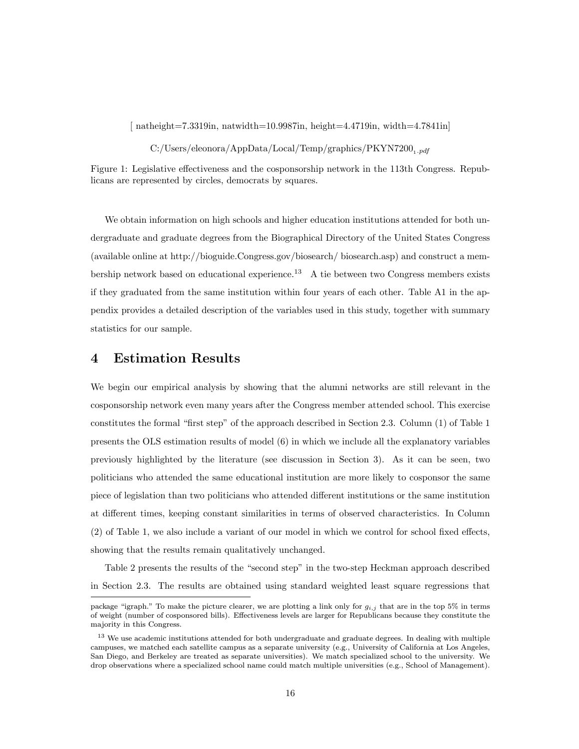$\int$  natheight=7.3319in, natwidth=10.9987in, height=4.4719in, width=4.7841in

 $C$ :/Users/eleonora/AppData/Local/Temp/graphics/PKYN7200<sub>1.pdf</sub>

Figure 1: Legislative effectiveness and the cosponsorship network in the 113th Congress. Republicans are represented by circles, democrats by squares.

We obtain information on high schools and higher education institutions attended for both undergraduate and graduate degrees from the Biographical Directory of the United States Congress (available online at http://bioguide.Congress.gov/biosearch/ biosearch.asp) and construct a membership network based on educational experience.<sup>13</sup> A tie between two Congress members exists if they graduated from the same institution within four years of each other. Table A1 in the appendix provides a detailed description of the variables used in this study, together with summary statistics for our sample.

### 4 Estimation Results

We begin our empirical analysis by showing that the alumni networks are still relevant in the cosponsorship network even many years after the Congress member attended school. This exercise constitutes the formal "first step" of the approach described in Section 2.3. Column  $(1)$  of Table 1 presents the OLS estimation results of model (6) in which we include all the explanatory variables previously highlighted by the literature (see discussion in Section 3). As it can be seen, two politicians who attended the same educational institution are more likely to cosponsor the same piece of legislation than two politicians who attended dierent institutions or the same institution at different times, keeping constant similarities in terms of observed characteristics. In Column  $(2)$  of Table 1, we also include a variant of our model in which we control for school fixed effects, showing that the results remain qualitatively unchanged.

Table 2 presents the results of the "second step" in the two-step Heckman approach described in Section 2.3. The results are obtained using standard weighted least square regressions that

package "igraph." To make the picture clearer, we are plotting a link only for  $g_{i,j}$  that are in the top 5% in terms of weight (number of cosponsored bills). Effectiveness levels are larger for Republicans because they constitute the majority in this Congress.

<sup>&</sup>lt;sup>13</sup> We use academic institutions attended for both undergraduate and graduate degrees. In dealing with multiple campuses, we matched each satellite campus as a separate university (e.g., University of California at Los Angeles, San Diego, and Berkeley are treated as separate universities). We match specialized school to the university. We drop observations where a specialized school name could match multiple universities (e.g., School of Management).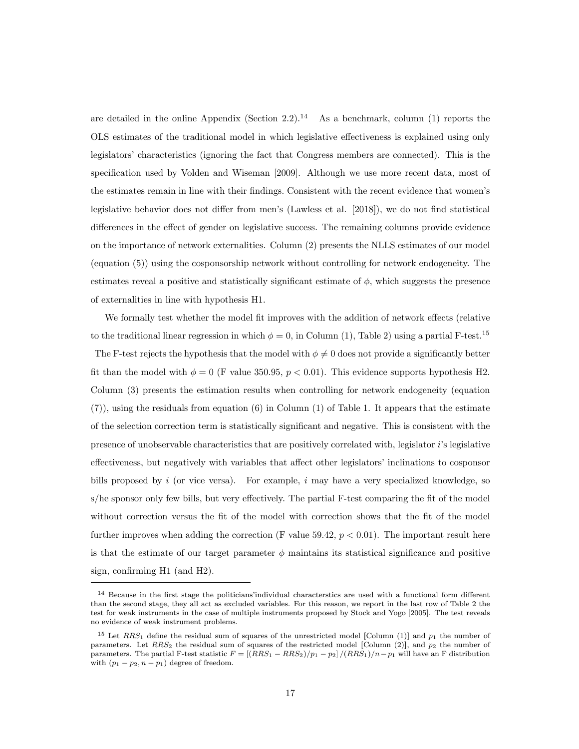are detailed in the online Appendix (Section 2.2).<sup>14</sup> As a benchmark, column (1) reports the OLS estimates of the traditional model in which legislative effectiveness is explained using only legislators' characteristics (ignoring the fact that Congress members are connected). This is the specification used by Volden and Wiseman [2009]. Although we use more recent data, most of the estimates remain in line with their findings. Consistent with the recent evidence that women's legislative behavior does not differ from men's (Lawless et al.  $[2018]$ ), we do not find statistical differences in the effect of gender on legislative success. The remaining columns provide evidence on the importance of network externalities. Column (2) presents the NLLS estimates of our model (equation (5)) using the cosponsorship network without controlling for network endogeneity. The estimates reveal a positive and statistically significant estimate of  $\phi$ , which suggests the presence of externalities in line with hypothesis H1.

We formally test whether the model fit improves with the addition of network effects (relative to the traditional linear regression in which  $\phi = 0$ , in Column (1), Table 2) using a partial F-test.<sup>15</sup> The F-test rejects the hypothesis that the model with  $\phi \neq 0$  does not provide a significantly better fit than the model with  $\phi = 0$  (F value 350.95,  $p < 0.01$ ). This evidence supports hypothesis H2. Column (3) presents the estimation results when controlling for network endogeneity (equation (7)), using the residuals from equation (6) in Column (1) of Table 1. It appears that the estimate of the selection correction term is statistically signicant and negative. This is consistent with the presence of unobservable characteristics that are positively correlated with, legislator i's legislative effectiveness, but negatively with variables that affect other legislators' inclinations to cosponsor bills proposed by i (or vice versa). For example, i may have a very specialized knowledge, so s/he sponsor only few bills, but very effectively. The partial F-test comparing the fit of the model without correction versus the fit of the model with correction shows that the fit of the model further improves when adding the correction (F value 59.42,  $p < 0.01$ ). The important result here is that the estimate of our target parameter  $\phi$  maintains its statistical significance and positive sign, confirming  $H1$  (and  $H2$ ).

 $14$  Because in the first stage the politicians'individual characterstics are used with a functional form different than the second stage, they all act as excluded variables. For this reason, we report in the last row of Table 2 the test for weak instruments in the case of multiple instruments proposed by Stock and Yogo [2005]. The test reveals no evidence of weak instrument problems.

<sup>&</sup>lt;sup>15</sup> Let  $RRS_1$  define the residual sum of squares of the unrestricted model [Column (1)] and  $p_1$  the number of parameters. Let  $RRS_2$  the residual sum of squares of the restricted model [Column (2)], and  $p_2$  the number of parameters. The partial F-test statistic  $F = [(RRS_1 - RRS_2)/p_1 - p_2]/(RRS_1)/n - p_1$  will have an F distribution with  $(p_1 - p_2, n - p_1)$  degree of freedom.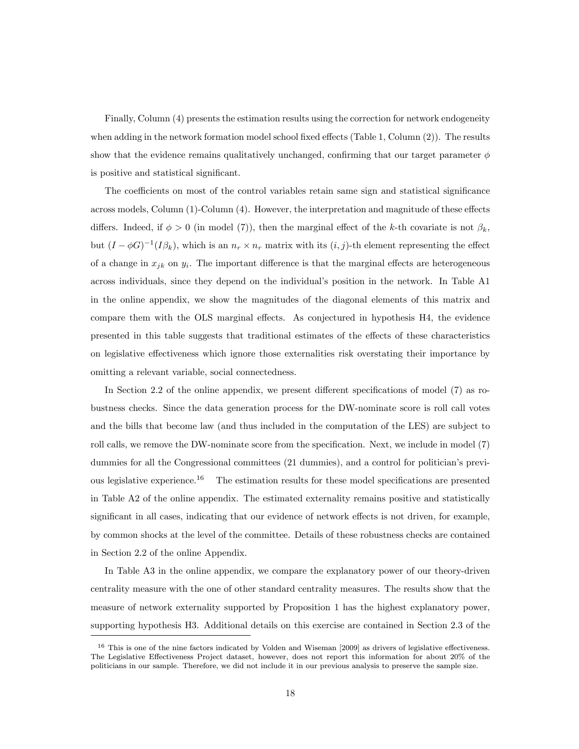Finally, Column (4) presents the estimation results using the correction for network endogeneity when adding in the network formation model school fixed effects (Table 1, Column  $(2)$ ). The results show that the evidence remains qualitatively unchanged, confirming that our target parameter  $\phi$ is positive and statistical signicant.

The coefficients on most of the control variables retain same sign and statistical significance across models, Column  $(1)$ -Column  $(4)$ . However, the interpretation and magnitude of these effects differs. Indeed, if  $\phi > 0$  (in model (7)), then the marginal effect of the k-th covariate is not  $\beta_k$ , but  $(I - \phi G)^{-1}(I\beta_k)$ , which is an  $n_r \times n_r$  matrix with its  $(i, j)$ -th element representing the effect of a change in  $x_{jk}$  on  $y_i$ . The important difference is that the marginal effects are heterogeneous across individuals, since they depend on the individual's position in the network. In Table A1 in the online appendix, we show the magnitudes of the diagonal elements of this matrix and compare them with the OLS marginal effects. As conjectured in hypothesis  $H_4$ , the evidence presented in this table suggests that traditional estimates of the effects of these characteristics on legislative effectiveness which ignore those externalities risk overstating their importance by omitting a relevant variable, social connectedness.

In Section 2.2 of the online appendix, we present different specifications of model  $(7)$  as robustness checks. Since the data generation process for the DW-nominate score is roll call votes and the bills that become law (and thus included in the computation of the LES) are subject to roll calls, we remove the DW-nominate score from the specification. Next, we include in model (7) dummies for all the Congressional committees (21 dummies), and a control for politician's previous legislative experience.<sup>16</sup> The estimation results for these model specifications are presented in Table A2 of the online appendix. The estimated externality remains positive and statistically significant in all cases, indicating that our evidence of network effects is not driven, for example, by common shocks at the level of the committee. Details of these robustness checks are contained in Section 2.2 of the online Appendix.

In Table A3 in the online appendix, we compare the explanatory power of our theory-driven centrality measure with the one of other standard centrality measures. The results show that the measure of network externality supported by Proposition 1 has the highest explanatory power, supporting hypothesis H3. Additional details on this exercise are contained in Section 2.3 of the

 $16$  This is one of the nine factors indicated by Volden and Wiseman [2009] as drivers of legislative effectiveness. The Legislative Effectiveness Project dataset, however, does not report this information for about 20% of the politicians in our sample. Therefore, we did not include it in our previous analysis to preserve the sample size.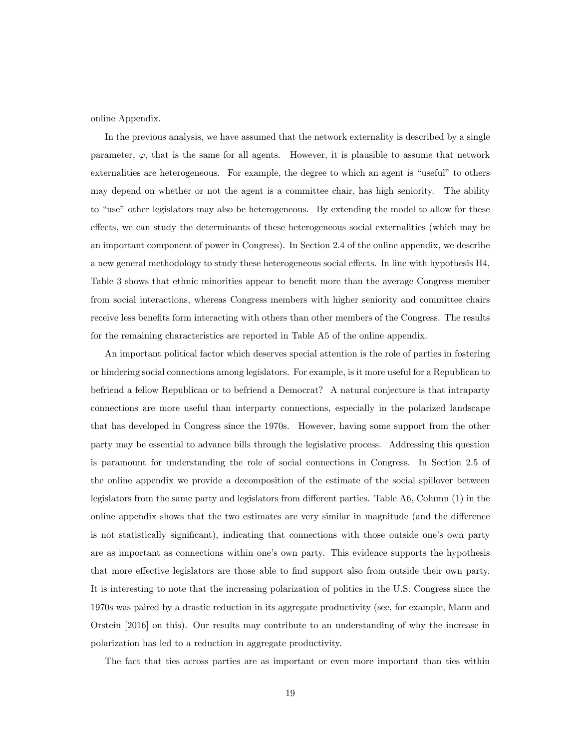online Appendix.

In the previous analysis, we have assumed that the network externality is described by a single parameter,  $\varphi$ , that is the same for all agents. However, it is plausible to assume that network externalities are heterogeneous. For example, the degree to which an agent is "useful" to others may depend on whether or not the agent is a committee chair, has high seniority. The ability to "use" other legislators may also be heterogeneous. By extending the model to allow for these effects, we can study the determinants of these heterogeneous social externalities (which may be an important component of power in Congress). In Section 2.4 of the online appendix, we describe a new general methodology to study these heterogeneous social effects. In line with hypothesis H4, Table 3 shows that ethnic minorities appear to benefit more than the average Congress member from social interactions, whereas Congress members with higher seniority and committee chairs receive less benefits form interacting with others than other members of the Congress. The results for the remaining characteristics are reported in Table A5 of the online appendix.

An important political factor which deserves special attention is the role of parties in fostering or hindering social connections among legislators. For example, is it more useful for a Republican to befriend a fellow Republican or to befriend a Democrat? A natural conjecture is that intraparty connections are more useful than interparty connections, especially in the polarized landscape that has developed in Congress since the 1970s. However, having some support from the other party may be essential to advance bills through the legislative process. Addressing this question is paramount for understanding the role of social connections in Congress. In Section 2.5 of the online appendix we provide a decomposition of the estimate of the social spillover between legislators from the same party and legislators from different parties. Table  $A6$ , Column  $(1)$  in the online appendix shows that the two estimates are very similar in magnitude (and the difference is not statistically signicant), indicating that connections with those outside one's own party are as important as connections within one's own party. This evidence supports the hypothesis that more effective legislators are those able to find support also from outside their own party. It is interesting to note that the increasing polarization of politics in the U.S. Congress since the 1970s was paired by a drastic reduction in its aggregate productivity (see, for example, Mann and Orstein [2016] on this). Our results may contribute to an understanding of why the increase in polarization has led to a reduction in aggregate productivity.

The fact that ties across parties are as important or even more important than ties within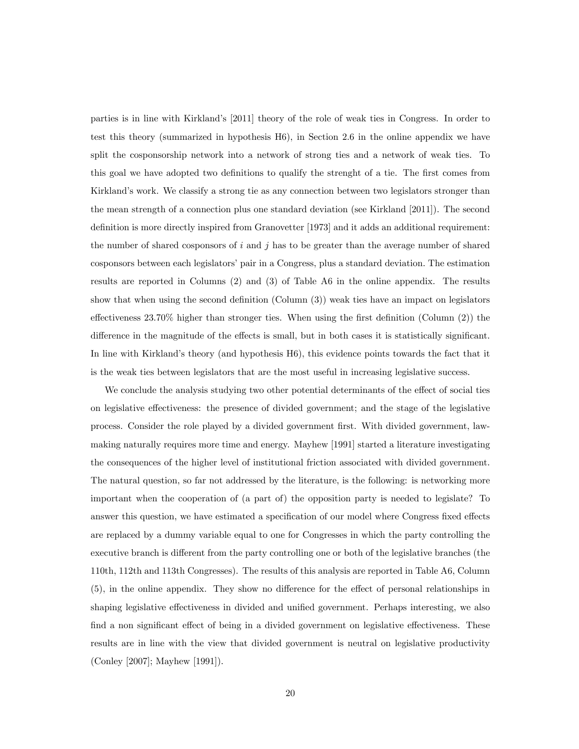parties is in line with Kirkland's [2011] theory of the role of weak ties in Congress. In order to test this theory (summarized in hypothesis H6), in Section 2.6 in the online appendix we have split the cosponsorship network into a network of strong ties and a network of weak ties. To this goal we have adopted two definitions to qualify the strenght of a tie. The first comes from Kirkland's work. We classify a strong tie as any connection between two legislators stronger than the mean strength of a connection plus one standard deviation (see Kirkland [2011]). The second definition is more directly inspired from Granovetter [1973] and it adds an additional requirement: the number of shared cosponsors of  $i$  and  $j$  has to be greater than the average number of shared cosponsors between each legislators' pair in a Congress, plus a standard deviation. The estimation results are reported in Columns (2) and (3) of Table A6 in the online appendix. The results show that when using the second definition  $(Column(3))$  weak ties have an impact on legislators effectiveness  $23.70\%$  higher than stronger ties. When using the first definition (Column  $(2)$ ) the difference in the magnitude of the effects is small, but in both cases it is statistically significant. In line with Kirkland's theory (and hypothesis H6), this evidence points towards the fact that it is the weak ties between legislators that are the most useful in increasing legislative success.

We conclude the analysis studying two other potential determinants of the effect of social ties on legislative effectiveness: the presence of divided government; and the stage of the legislative process. Consider the role played by a divided government first. With divided government, lawmaking naturally requires more time and energy. Mayhew [1991] started a literature investigating the consequences of the higher level of institutional friction associated with divided government. The natural question, so far not addressed by the literature, is the following: is networking more important when the cooperation of (a part of) the opposition party is needed to legislate? To answer this question, we have estimated a specification of our model where Congress fixed effects are replaced by a dummy variable equal to one for Congresses in which the party controlling the executive branch is different from the party controlling one or both of the legislative branches (the 110th, 112th and 113th Congresses). The results of this analysis are reported in Table A6, Column  $(5)$ , in the online appendix. They show no difference for the effect of personal relationships in shaping legislative effectiveness in divided and unified government. Perhaps interesting, we also find a non significant effect of being in a divided government on legislative effectiveness. These results are in line with the view that divided government is neutral on legislative productivity (Conley [2007]; Mayhew [1991]).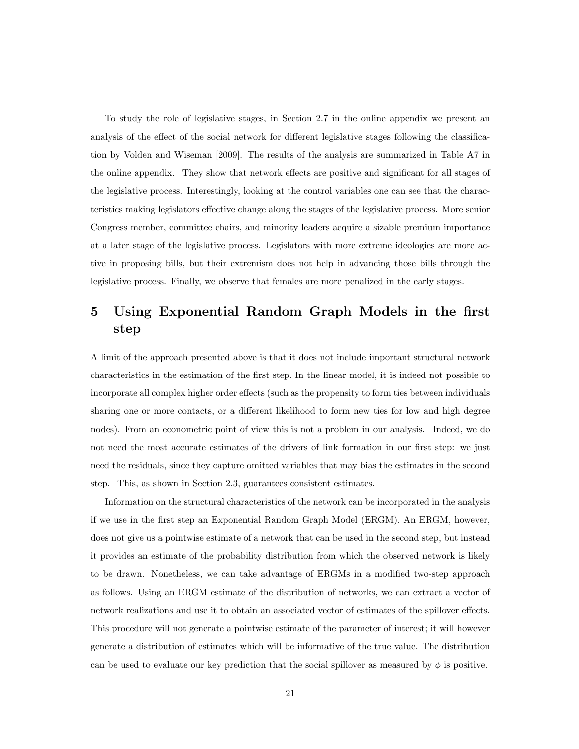To study the role of legislative stages, in Section 2.7 in the online appendix we present an analysis of the effect of the social network for different legislative stages following the classification by Volden and Wiseman [2009]. The results of the analysis are summarized in Table A7 in the online appendix. They show that network effects are positive and significant for all stages of the legislative process. Interestingly, looking at the control variables one can see that the characteristics making legislators effective change along the stages of the legislative process. More senior Congress member, committee chairs, and minority leaders acquire a sizable premium importance at a later stage of the legislative process. Legislators with more extreme ideologies are more active in proposing bills, but their extremism does not help in advancing those bills through the legislative process. Finally, we observe that females are more penalized in the early stages.

# 5 Using Exponential Random Graph Models in the first step

A limit of the approach presented above is that it does not include important structural network characteristics in the estimation of the first step. In the linear model, it is indeed not possible to incorporate all complex higher order effects (such as the propensity to form ties between individuals sharing one or more contacts, or a different likelihood to form new ties for low and high degree nodes). From an econometric point of view this is not a problem in our analysis. Indeed, we do not need the most accurate estimates of the drivers of link formation in our first step: we just need the residuals, since they capture omitted variables that may bias the estimates in the second step. This, as shown in Section 2.3, guarantees consistent estimates.

Information on the structural characteristics of the network can be incorporated in the analysis if we use in the first step an Exponential Random Graph Model (ERGM). An ERGM, however, does not give us a pointwise estimate of a network that can be used in the second step, but instead it provides an estimate of the probability distribution from which the observed network is likely to be drawn. Nonetheless, we can take advantage of ERGMs in a modified two-step approach as follows. Using an ERGM estimate of the distribution of networks, we can extract a vector of network realizations and use it to obtain an associated vector of estimates of the spillover effects. This procedure will not generate a pointwise estimate of the parameter of interest; it will however generate a distribution of estimates which will be informative of the true value. The distribution can be used to evaluate our key prediction that the social spillover as measured by  $\phi$  is positive.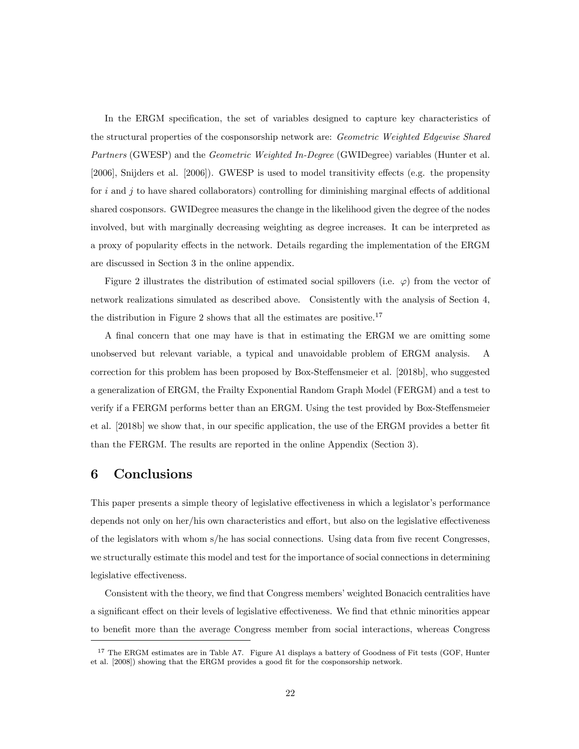In the ERGM specification, the set of variables designed to capture key characteristics of the structural properties of the cosponsorship network are: Geometric Weighted Edgewise Shared Partners (GWESP) and the *Geometric Weighted In-Degree* (GWIDegree) variables (Hunter et al.  $[2006]$ , Snijders et al.  $[2006]$ ). GWESP is used to model transitivity effects (e.g. the propensity for i and j to have shared collaborators) controlling for diminishing marginal effects of additional shared cosponsors. GWIDegree measures the change in the likelihood given the degree of the nodes involved, but with marginally decreasing weighting as degree increases. It can be interpreted as a proxy of popularity effects in the network. Details regarding the implementation of the ERGM are discussed in Section 3 in the online appendix.

Figure 2 illustrates the distribution of estimated social spillovers (i.e.  $\varphi$ ) from the vector of network realizations simulated as described above. Consistently with the analysis of Section 4, the distribution in Figure 2 shows that all the estimates are positive.<sup>17</sup>

A final concern that one may have is that in estimating the ERGM we are omitting some unobserved but relevant variable, a typical and unavoidable problem of ERGM analysis. A correction for this problem has been proposed by Box-Steensmeier et al. [2018b], who suggested a generalization of ERGM, the Frailty Exponential Random Graph Model (FERGM) and a test to verify if a FERGM performs better than an ERGM. Using the test provided by Box-Steffensmeier et al. [2018b] we show that, in our specific application, the use of the ERGM provides a better fit than the FERGM. The results are reported in the online Appendix (Section 3).

### 6 Conclusions

This paper presents a simple theory of legislative effectiveness in which a legislator's performance depends not only on her/his own characteristics and effort, but also on the legislative effectiveness of the legislators with whom  $s$ /he has social connections. Using data from five recent Congresses, we structurally estimate this model and test for the importance of social connections in determining legislative effectiveness.

Consistent with the theory, we find that Congress members' weighted Bonacich centralities have a significant effect on their levels of legislative effectiveness. We find that ethnic minorities appear to benefit more than the average Congress member from social interactions, whereas Congress

<sup>&</sup>lt;sup>17</sup> The ERGM estimates are in Table A7. Figure A1 displays a battery of Goodness of Fit tests (GOF, Hunter et al. [2008]) showing that the ERGM provides a good fit for the cosponsorship network.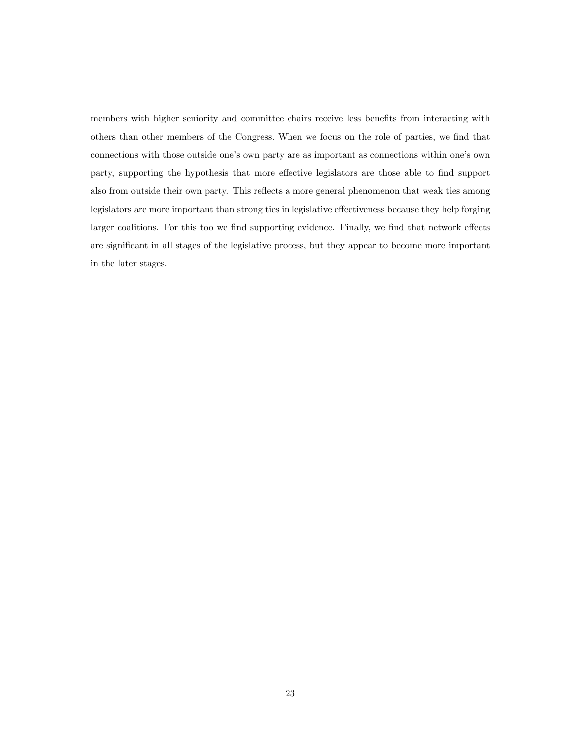members with higher seniority and committee chairs receive less benefits from interacting with others than other members of the Congress. When we focus on the role of parties, we find that connections with those outside one's own party are as important as connections within one's own party, supporting the hypothesis that more effective legislators are those able to find support also from outside their own party. This reflects a more general phenomenon that weak ties among legislators are more important than strong ties in legislative effectiveness because they help forging larger coalitions. For this too we find supporting evidence. Finally, we find that network effects are signicant in all stages of the legislative process, but they appear to become more important in the later stages.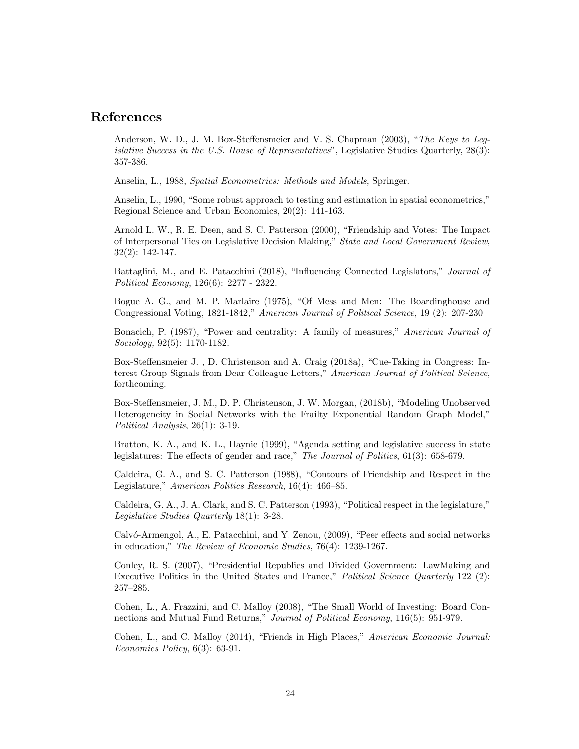### References

Anderson, W. D., J. M. Box-Steffensmeier and V. S. Chapman (2003), "The Keys to Leqislative Success in the U.S. House of Representatives", Legislative Studies Quarterly, 28(3): 357-386.

Anselin, L., 1988, Spatial Econometrics: Methods and Models, Springer.

Anselin, L., 1990, "Some robust approach to testing and estimation in spatial econometrics," Regional Science and Urban Economics, 20(2): 141-163.

Arnold L. W., R. E. Deen, and S. C. Patterson (2000), \Friendship and Votes: The Impact of Interpersonal Ties on Legislative Decision Making," State and Local Government Review, 32(2): 142-147.

Battaglini, M., and E. Patacchini (2018), "Influencing Connected Legislators," *Journal of* Political Economy, 126(6): 2277 - 2322.

Bogue A. G., and M. P. Marlaire (1975), "Of Mess and Men: The Boardinghouse and Congressional Voting, 1821-1842," American Journal of Political Science, 19 (2): 207-230

Bonacich, P. (1987), "Power and centrality: A family of measures," American Journal of Sociology, 92(5): 1170-1182.

Box-Steffensmeier J., D. Christenson and A. Craig (2018a), "Cue-Taking in Congress: Interest Group Signals from Dear Colleague Letters," American Journal of Political Science, forthcoming.

Box-Steffensmeier, J. M., D. P. Christenson, J. W. Morgan, (2018b), "Modeling Unobserved Heterogeneity in Social Networks with the Frailty Exponential Random Graph Model," Political Analysis, 26(1): 3-19.

Bratton, K. A., and K. L., Haynie (1999), "Agenda setting and legislative success in state legislatures: The effects of gender and race," The Journal of Politics,  $61(3)$ : 658-679.

Caldeira, G. A., and S. C. Patterson (1988), "Contours of Friendship and Respect in the Legislature," American Politics Research,  $16(4)$ : 466–85.

Caldeira, G. A., J. A. Clark, and S. C. Patterson (1993), \Political respect in the legislature," Legislative Studies Quarterly 18(1): 3-28.

Calvó-Armengol, A., E. Patacchini, and Y. Zenou, (2009), "Peer effects and social networks in education," The Review of Economic Studies, 76(4): 1239-1267.

Conley, R. S. (2007), \Presidential Republics and Divided Government: LawMaking and Executive Politics in the United States and France," Political Science Quarterly 122 (2):  $257–285.$ 

Cohen, L., A. Frazzini, and C. Malloy (2008), \The Small World of Investing: Board Connections and Mutual Fund Returns," Journal of Political Economy, 116(5): 951-979.

Cohen, L., and C. Malloy (2014), "Friends in High Places," American Economic Journal: Economics Policy, 6(3): 63-91.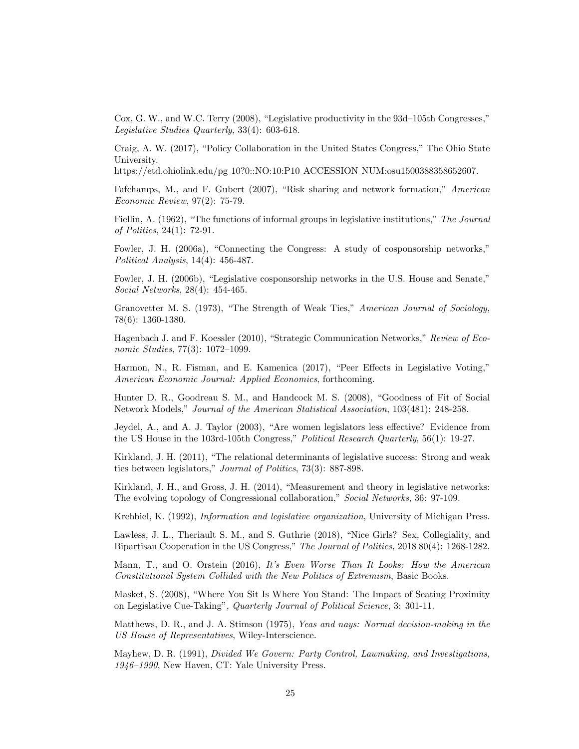Cox, G. W., and W.C. Terry (2008), "Legislative productivity in the 93d–105th Congresses," Legislative Studies Quarterly, 33(4): 603-618.

Craig, A. W. (2017), "Policy Collaboration in the United States Congress," The Ohio State University.

https://etd.ohiolink.edu/pg 10?0::NO:10:P10 ACCESSION NUM:osu1500388358652607.

Fafchamps, M., and F. Gubert  $(2007)$ , "Risk sharing and network formation," American Economic Review, 97(2): 75-79.

Fiellin, A. (1962), "The functions of informal groups in legislative institutions," The Journal of Politics, 24(1): 72-91.

Fowler, J. H. (2006a), "Connecting the Congress: A study of cosponsorship networks," Political Analysis, 14(4): 456-487.

Fowler, J. H. (2006b), "Legislative cosponsorship networks in the U.S. House and Senate," Social Networks, 28(4): 454-465.

Granovetter M. S. (1973), "The Strength of Weak Ties," American Journal of Sociology, 78(6): 1360-1380.

Hagenbach J. and F. Koessler (2010), "Strategic Communication Networks," Review of Economic Studies,  $77(3)$ :  $1072-1099$ .

Harmon, N., R. Fisman, and E. Kamenica (2017), "Peer Effects in Legislative Voting," American Economic Journal: Applied Economics, forthcoming.

Hunter D. R., Goodreau S. M., and Handcock M. S. (2008), "Goodness of Fit of Social Network Models," Journal of the American Statistical Association, 103(481): 248-258.

Jeydel,  $A_{\cdot}$ , and  $A_{\cdot}$  J. Taylor (2003), "Are women legislators less effective? Evidence from the US House in the 103rd-105th Congress," Political Research Quarterly, 56(1): 19-27.

Kirkland, J. H. (2011), "The relational determinants of legislative success: Strong and weak ties between legislators," Journal of Politics, 73(3): 887-898.

Kirkland, J. H., and Gross, J. H. (2014), "Measurement and theory in legislative networks: The evolving topology of Congressional collaboration," Social Networks, 36: 97-109.

Krehbiel, K. (1992), Information and legislative organization, University of Michigan Press.

Lawless, J. L., Theriault S. M., and S. Guthrie (2018), "Nice Girls? Sex, Collegiality, and Bipartisan Cooperation in the US Congress," The Journal of Politics, 2018 80(4): 1268-1282.

Mann, T., and O. Orstein (2016), It's Even Worse Than It Looks: How the American Constitutional System Collided with the New Politics of Extremism, Basic Books.

Masket, S. (2008), "Where You Sit Is Where You Stand: The Impact of Seating Proximity on Legislative Cue-Taking", Quarterly Journal of Political Science, 3: 301-11.

Matthews, D. R., and J. A. Stimson (1975), Yeas and nays: Normal decision-making in the US House of Representatives, Wiley-Interscience.

Mayhew, D. R. (1991), Divided We Govern: Party Control, Lawmaking, and Investigations,  $1946{-}1990$ , New Haven, CT: Yale University Press.